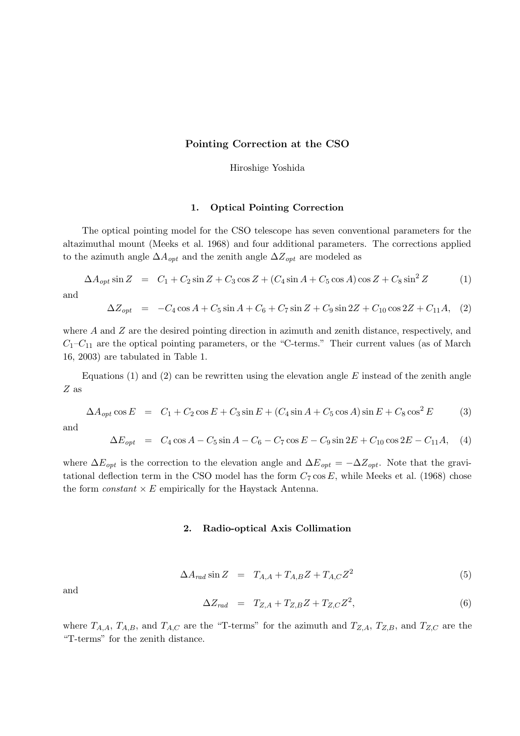## Pointing Correction at the CSO

Hiroshige Yoshida

## 1. Optical Pointing Correction

The optical pointing model for the CSO telescope has seven conventional parameters for the altazimuthal mount (Meeks et al. 1968) and four additional parameters. The corrections applied to the azimuth angle  $\Delta A_{opt}$  and the zenith angle  $\Delta Z_{opt}$  are modeled as

$$
\Delta A_{opt} \sin Z = C_1 + C_2 \sin Z + C_3 \cos Z + (C_4 \sin A + C_5 \cos A) \cos Z + C_8 \sin^2 Z \tag{1}
$$

and

$$
\Delta Z_{opt} = -C_4 \cos A + C_5 \sin A + C_6 + C_7 \sin Z + C_9 \sin 2Z + C_{10} \cos 2Z + C_{11} A, (2)
$$

where A and Z are the desired pointing direction in azimuth and zenith distance, respectively, and  $C_1-C_{11}$  are the optical pointing parameters, or the "C-terms." Their current values (as of March 16, 2003) are tabulated in Table 1.

Equations (1) and (2) can be rewritten using the elevation angle  $E$  instead of the zenith angle Z as

$$
\Delta A_{opt} \cos E = C_1 + C_2 \cos E + C_3 \sin E + (C_4 \sin A + C_5 \cos A) \sin E + C_8 \cos^2 E \tag{3}
$$

and

$$
\Delta E_{opt} = C_4 \cos A - C_5 \sin A - C_6 - C_7 \cos E - C_9 \sin 2E + C_{10} \cos 2E - C_{11} A, \quad (4)
$$

where  $\Delta E_{opt}$  is the correction to the elevation angle and  $\Delta E_{opt} = -\Delta Z_{opt}$ . Note that the gravitational deflection term in the CSO model has the form  $C_7 \cos E$ , while Meeks et al. (1968) chose the form *constant*  $\times$  E empirically for the Haystack Antenna.

#### 2. Radio-optical Axis Collimation

$$
\Delta A_{rad} \sin Z = T_{A,A} + T_{A,B} Z + T_{A,C} Z^2 \tag{5}
$$

and

$$
\Delta Z_{rad} = T_{Z,A} + T_{Z,B} Z + T_{Z,C} Z^2, \qquad (6)
$$

where  $T_{A,A}$ ,  $T_{A,B}$ , and  $T_{A,C}$  are the "T-terms" for the azimuth and  $T_{Z,A}$ ,  $T_{Z,B}$ , and  $T_{Z,C}$  are the "T-terms" for the zenith distance.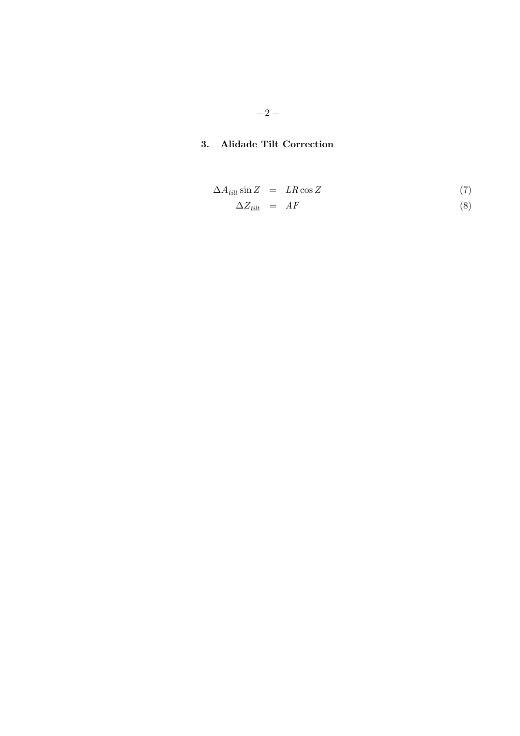# 3. Alidade Tilt Correction

$$
\Delta A_{tilt} \sin Z = LR \cos Z \tag{7}
$$

$$
\Delta Z_{\text{tilt}} = AF \tag{8}
$$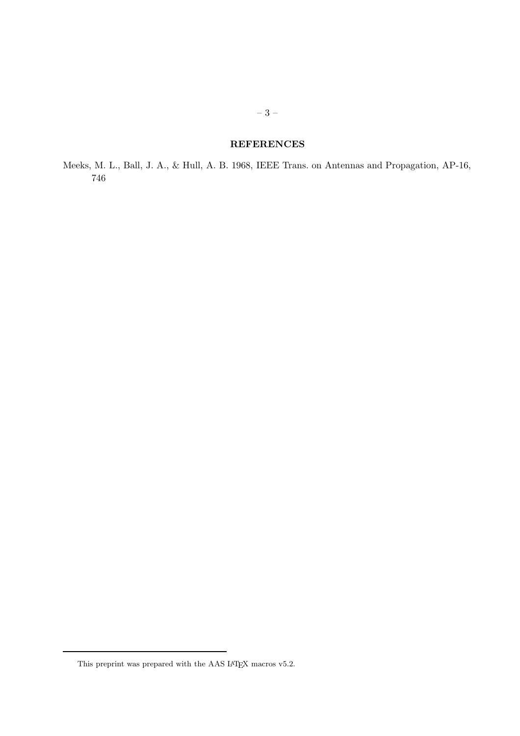# **REFERENCES**

Meeks, M. L., Ball, J. A., & Hull, A. B. 1968, IEEE Trans. on Antennas and Propagation, AP-16, 746

This preprint was prepared with the AAS IATEX macros v5.2.